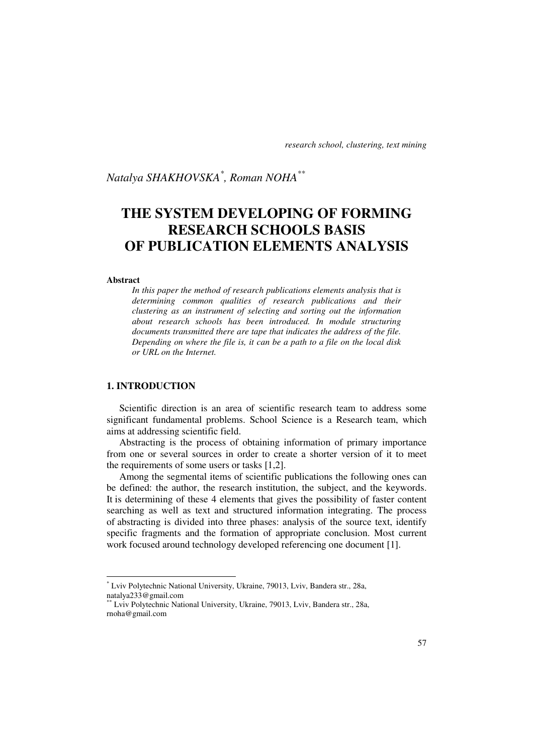*Natalya SHAKHOVSKA\* , Roman NOHA\*\** 

# **THE SYSTEM DEVELOPING OF FORMING RESEARCH SCHOOLS BASIS OF PUBLICATION ELEMENTS ANALYSIS**

#### **Abstract**

l

*In this paper the method of research publications elements analysis that is determining common qualities of research publications and their clustering as an instrument of selecting and sorting out the information about research schools has been introduced. In module structuring documents transmitted there are tape that indicates the address of the file. Depending on where the file is, it can be a path to a file on the local disk or URL on the Internet.* 

# **1. INTRODUCTION**

Scientific direction is an area of scientific research team to address some significant fundamental problems. School Science is a Research team, which aims at addressing scientific field.

Abstracting is the process of obtaining information of primary importance from one or several sources in order to create a shorter version of it to meet the requirements of some users or tasks [1,2].

Among the segmental items of scientific publications the following ones can be defined: the author, the research institution, the subject, and the keywords. It is determining of these 4 elements that gives the possibility of faster content searching as well as text and structured information integrating. The process of abstracting is divided into three phases: analysis of the source text, identify specific fragments and the formation of appropriate conclusion. Most current work focused around technology developed referencing one document [1].

<sup>\*</sup> Lviv Polytechnic National University, Ukraine, 79013, Lviv, Bandera str., 28a, natalya233@gmail.com

<sup>\*\*</sup> Lviv Polytechnic National University, Ukraine, 79013, Lviv, Bandera str., 28a, rnoha@gmail.com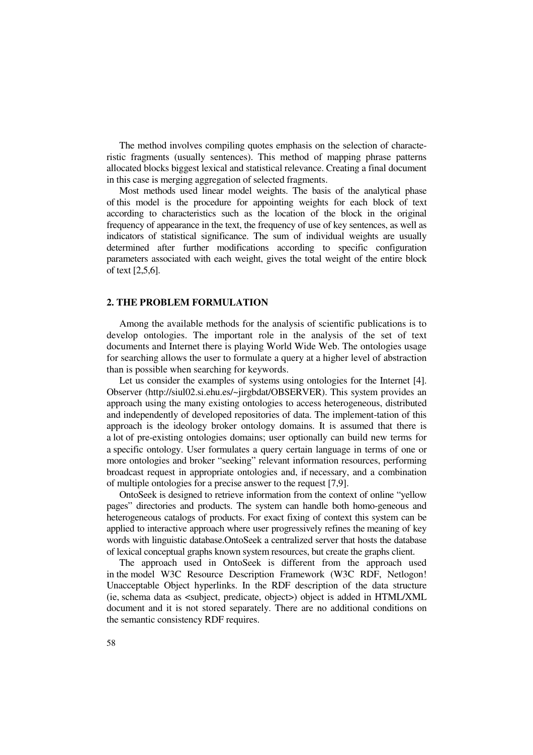The method involves compiling quotes emphasis on the selection of characteristic fragments (usually sentences). This method of mapping phrase patterns allocated blocks biggest lexical and statistical relevance. Creating a final document in this case is merging aggregation of selected fragments.

Most methods used linear model weights. The basis of the analytical phase of this model is the procedure for appointing weights for each block of text according to characteristics such as the location of the block in the original frequency of appearance in the text, the frequency of use of key sentences, as well as indicators of statistical significance. The sum of individual weights are usually determined after further modifications according to specific configuration parameters associated with each weight, gives the total weight of the entire block of text [2,5,6].

## **2. THE PROBLEM FORMULATION**

Among the available methods for the analysis of scientific publications is to develop ontologies. The important role in the analysis of the set of text documents and Internet there is playing World Wide Web. The ontologies usage for searching allows the user to formulate a query at a higher level of abstraction than is possible when searching for keywords.

Let us consider the examples of systems using ontologies for the Internet [4]. Observer (http://siul02.si.ehu.es/~jirgbdat/OBSERVER). This system provides an approach using the many existing ontologies to access heterogeneous, distributed and independently of developed repositories of data. The implement-tation of this approach is the ideology broker ontology domains. It is assumed that there is a lot of pre-existing ontologies domains; user optionally can build new terms for a specific ontology. User formulates a query certain language in terms of one or more ontologies and broker "seeking" relevant information resources, performing broadcast request in appropriate ontologies and, if necessary, and a combination of multiple ontologies for a precise answer to the request [7,9].

OntoSeek is designed to retrieve information from the context of online "yellow pages" directories and products. The system can handle both homo-geneous and heterogeneous catalogs of products. For exact fixing of context this system can be applied to interactive approach where user progressively refines the meaning of key words with linguistic database.OntoSeek a centralized server that hosts the database of lexical conceptual graphs known system resources, but create the graphs client.

The approach used in OntoSeek is different from the approach used in the model W3C Resource Description Framework (W3C RDF, Netlogon! Unacceptable Object hyperlinks. In the RDF description of the data structure (ie, schema data as <subject, predicate, object>) object is added in HTML/XML document and it is not stored separately. There are no additional conditions on the semantic consistency RDF requires.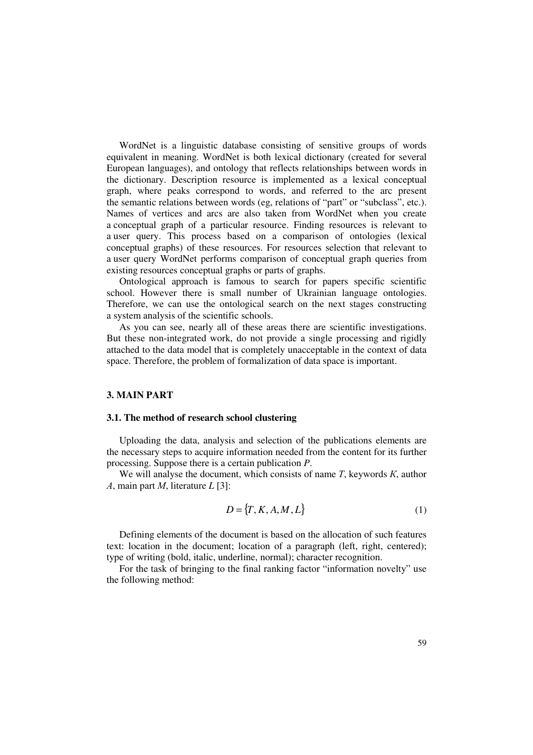WordNet is a linguistic database consisting of sensitive groups of words equivalent in meaning. WordNet is both lexical dictionary (created for several European languages), and ontology that reflects relationships between words in the dictionary. Description resource is implemented as a lexical conceptual graph, where peaks correspond to words, and referred to the arc present the semantic relations between words (eg, relations of "part" or "subclass", etc.). Names of vertices and arcs are also taken from WordNet when you create a conceptual graph of a particular resource. Finding resources is relevant to a user query. This process based on a comparison of ontologies (lexical conceptual graphs) of these resources. For resources selection that relevant to a user query WordNet performs comparison of conceptual graph queries from existing resources conceptual graphs or parts of graphs.

Ontological approach is famous to search for papers specific scientific school. However there is small number of Ukrainian language ontologies. Therefore, we can use the ontological search on the next stages constructing a system analysis of the scientific schools.

As you can see, nearly all of these areas there are scientific investigations. But these non-integrated work, do not provide a single processing and rigidly attached to the data model that is completely unacceptable in the context of data space. Therefore, the problem of formalization of data space is important.

## **3. MAIN PART**

#### **3.1. The method of research school clustering**

Uploading the data, analysis and selection of the publications elements are the necessary steps to acquire information needed from the content for its further processing. Suppose there is a certain publication *P*.

We will analyse the document, which consists of name *Т*, keywords *К*, author *А*, main part *М*, literature *L* [3]:

$$
D = \{T, K, A, M, L\} \tag{1}
$$

Defining elements of the document is based on the allocation of such features text: location in the document; location of a paragraph (left, right, centered); type of writing (bold, italic, underline, normal); character recognition.

For the task of bringing to the final ranking factor "information novelty" use the following method: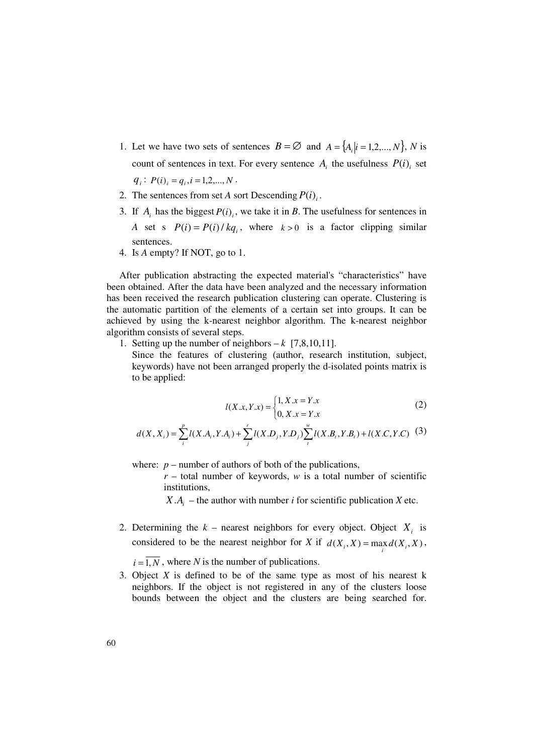- 1. Let we have two sets of sentences  $B = \emptyset$  and  $A = \{A_i | i = 1, 2, ..., N\}$ , *N* is count of sentences in text. For every sentence  $A_i$  the usefulness  $P(i)$ <sub>i</sub> set  $q_i$ :  $P(i)_i = q_i$ ,  $i = 1, 2, ..., N$ .
- 2. The sentences from set *A* sort Descending  $P(i)$ .
- 3. If  $A_i$  has the biggest  $P(i)$ , we take it in *B*. The usefulness for sentences in *A* set s  $P(i) = P(i) / kq_i$ , where  $k > 0$  is a factor clipping similar sentences.
- 4. Is *A* empty? If NOT, go to 1.

After publication abstracting the expected material's "characteristics" have been obtained. After the data have been analyzed and the necessary information has been received the research publication clustering can operate. Clustering is the automatic partition of the elements of a certain set into groups. It can be achieved by using the k-nearest neighbor algorithm. The k-nearest neighbor algorithm consists of several steps.

1. Setting up the number of neighbors  $-k$  [7,8,10,11].

Since the features of clustering (author, research institution, subject, keywords) have not been arranged properly the d-isolated points matrix is to be applied:

$$
l(X.x, Y.x) = \begin{cases} 1, X.x = Y.x \\ 0, X.x = Y.x \end{cases}
$$
 (2)

$$
d(X, X_i) = \sum_{i}^{p} l(X.A_i, Y.A_i) + \sum_{j}^{r} l(X.D_j, Y.D_j) \sum_{i}^{w} l(X.B_i, Y.B_i) + l(X.C, Y.C)
$$
 (3)

where:  $p$  – number of authors of both of the publications,

 $r$  – total number of keywords, *w* is a total number of scientific institutions,

*X*  $A_i$  – the author with number *i* for scientific publication *X* etc.

2. Determining the  $k$  – nearest neighbors for every object. Object  $X_i$  is considered to be the nearest neighbor for *X* if  $d(X_i, X) = \max_i d(X_i, X)$ ,

 $i = \overline{1, N}$ , where *N* is the number of publications.

3. Object *X* is defined to be of the same type as most of his nearest k neighbors. If the object is not registered in any of the clusters loose bounds between the object and the clusters are being searched for.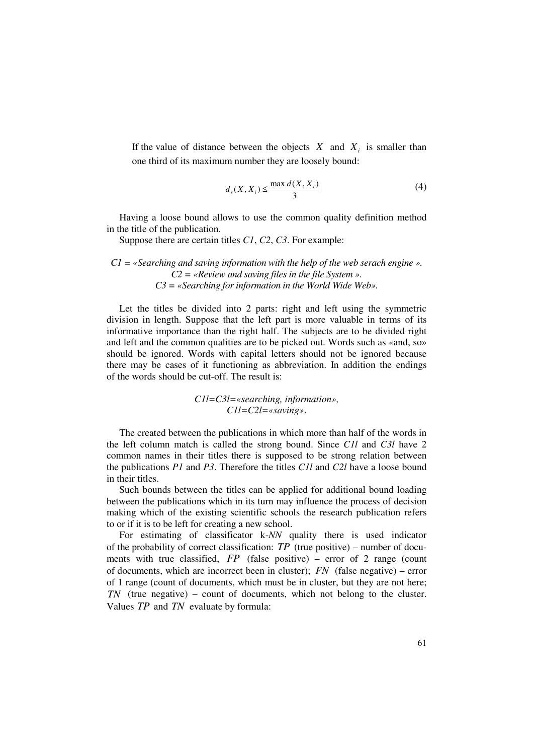If the value of distance between the objects  $X$  and  $X_i$  is smaller than one third of its maximum number they are loosely bound:

$$
d_s(X, X_i) \le \frac{\max d(X, X_i)}{3}
$$
 (4)

Having a loose bound allows to use the common quality definition method in the title of the publication.

Suppose there are certain titles *C1*, *C2*, *C3*. For example:

# *C1 = «Searching and saving information with the help of the web serach engine ». C2 = «Review and saving files in the file System ». C3 = «Searching for information in the World Wide Web».*

Let the titles be divided into 2 parts: right and left using the symmetric division in length. Suppose that the left part is more valuable in terms of its informative importance than the right half. The subjects are to be divided right and left and the common qualities are to be picked out. Words such as «and, so» should be ignored. Words with capital letters should not be ignored because there may be cases of it functioning as abbreviation. In addition the endings of the words should be cut-off. The result is:

> *C1l=C3l=«searching, information», C1l=C2l=«saving»*.

The created between the publications in which more than half of the words in the left column match is called the strong bound. Since *C1l* and *C3l* have 2 common names in their titles there is supposed to be strong relation between the publications *P1* and *P3*. Therefore the titles *C1l* and *C2l* have a loose bound in their titles.

Such bounds between the titles can be applied for additional bound loading between the publications which in its turn may influence the process of decision making which of the existing scientific schools the research publication refers to or if it is to be left for creating a new school.

For estimating of classificator k-*NN* quality there is used indicator of the probability of correct classification:  $TP$  (true positive) – number of documents with true classified, *FP* (false positive) – error of 2 range (count of documents, which are incorrect been in cluster); *FN* (false negative) – error of 1 range (count of documents, which must be in cluster, but they are not here; *TN* (true negative) – count of documents, which not belong to the cluster. Values *TP* and *TN* evaluate by formula: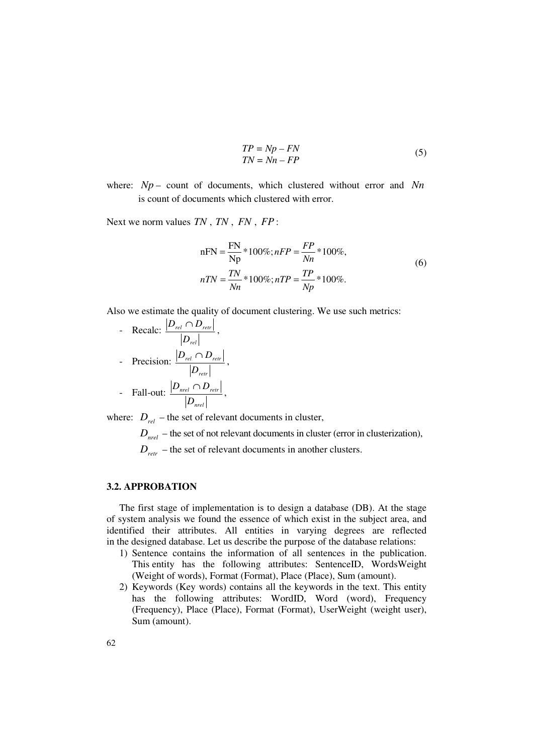$$
TP = Np - FN
$$
  
\n
$$
TN = Nn - FP
$$
\n(5)

where: *Np* – count of documents, which clustered without error and *Nn* is count of documents which clustered with error.

Next we norm values *TN* , *TN* , *FN* , *FP* :

$$
nFN = \frac{FN}{Np} * 100\%; nFP = \frac{FP}{Nn} * 100\%,nTN = \frac{TN}{Nn} * 100\%; nTP = \frac{TP}{Np} * 100\%.
$$
 (6)

Also we estimate the quality of document clustering. We use such metrics:

- Recalc: *rel rel retr D*  $\left| \frac{D_{\textit{rel}} \cap D_{\textit{retr}}}{\sigma} \right|,$ 

- Precision: 
$$
\frac{|D_{rel} \cap D_{retr}|}{|D_{retr}|},
$$

- Fall-out: 
$$
\frac{|D_{\text{nel}} \cap D_{\text{retr}}|}{|D_{\text{nel}}|},
$$

where:  $D_{rel}$  – the set of relevant documents in cluster,

 $D<sub>net</sub>$  – the set of not relevant documents in cluster (error in clusterization),

 $D_{\text{retr}}$  – the set of relevant documents in another clusters.

## **3.2. APPROBATION**

The first stage of implementation is to design a database (DB). At the stage of system analysis we found the essence of which exist in the subject area, and identified their attributes. All entities in varying degrees are reflected in the designed database. Let us describe the purpose of the database relations:

- 1) Sentence contains the information of all sentences in the publication. This entity has the following attributes: SentenceID, WordsWeight (Weight of words), Format (Format), Place (Place), Sum (amount).
- 2) Keywords (Key words) contains all the keywords in the text. This entity has the following attributes: WordID, Word (word), Frequency (Frequency), Place (Place), Format (Format), UserWeight (weight user), Sum (amount).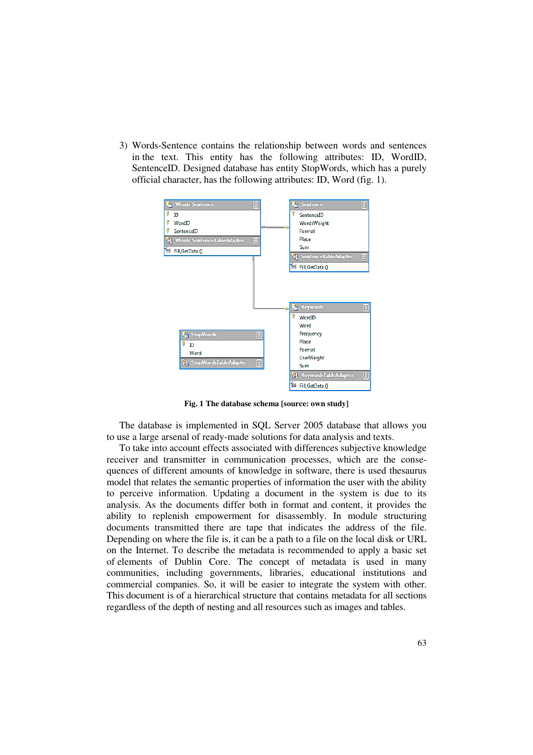3) Words-Sentence contains the relationship between words and sentences in the text. This entity has the following attributes: ID, WordID, SentenceID. Designed database has entity StopWords, which has a purely official character, has the following attributes: ID, Word (fig. 1).



**Fig. 1 The database schema [source: own study]** 

The database is implemented in SQL Server 2005 database that allows you to use a large arsenal of ready-made solutions for data analysis and texts.

To take into account effects associated with differences subjective knowledge receiver and transmitter in communication processes, which are the consequences of different amounts of knowledge in software, there is used thesaurus model that relates the semantic properties of information the user with the ability to perceive information. Updating a document in the system is due to its analysis. As the documents differ both in format and content, it provides the ability to replenish empowerment for disassembly. In module structuring documents transmitted there are tape that indicates the address of the file. Depending on where the file is, it can be a path to a file on the local disk or URL on the Internet. To describe the metadata is recommended to apply a basic set of elements of Dublin Core. The concept of metadata is used in many communities, including governments, libraries, educational institutions and commercial companies. So, it will be easier to integrate the system with other. This document is of a hierarchical structure that contains metadata for all sections regardless of the depth of nesting and all resources such as images and tables.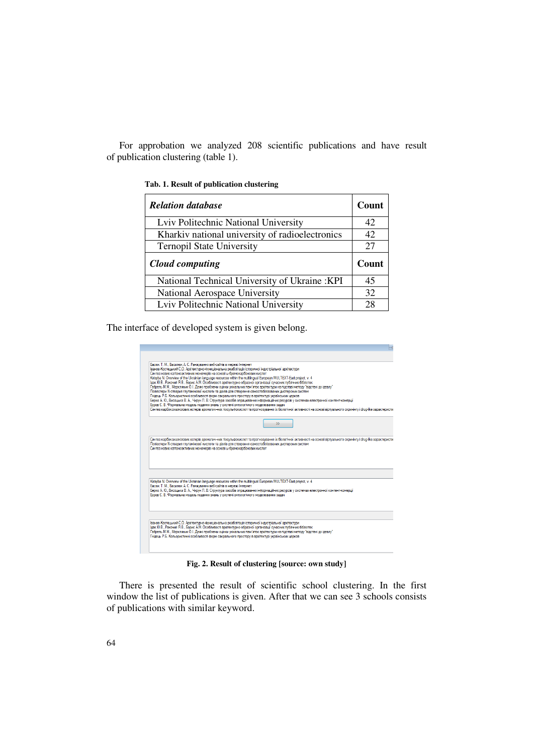For approbation we analyzed 208 scientific publications and have result of publication clustering (table 1).

| <b>Relation database</b>                        | Count |
|-------------------------------------------------|-------|
| Lviv Politechnic National University            | 42    |
| Kharkiv national university of radioelectronics | 42    |
| <b>Ternopil State University</b>                | 27    |
| Cloud computing                                 |       |
|                                                 | Count |
| National Technical University of Ukraine: KPI   | 45    |
| National Aerospace University                   | 32    |

**Tab. 1. Result of publication clustering** 

The interface of developed system is given belong.



**Fig. 2. Result of clustering [source: own study]** 

There is presented the result of scientific school clustering. In the first window the list of publications is given. After that we can see 3 schools consists of publications with similar keyword.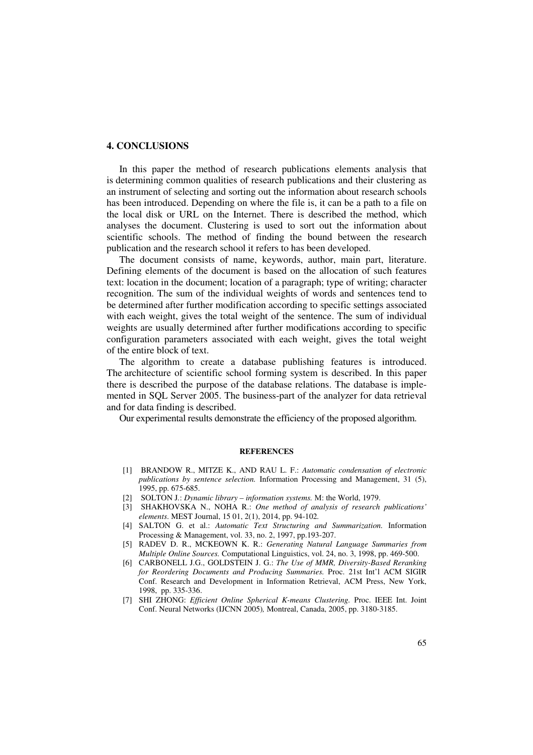#### **4. CONCLUSIONS**

In this paper the method of research publications elements analysis that is determining common qualities of research publications and their clustering as an instrument of selecting and sorting out the information about research schools has been introduced. Depending on where the file is, it can be a path to a file on the local disk or URL on the Internet. There is described the method, which analyses the document. Clustering is used to sort out the information about scientific schools. The method of finding the bound between the research publication and the research school it refers to has been developed.

The document consists of name, keywords, author, main part, literature. Defining elements of the document is based on the allocation of such features text: location in the document; location of a paragraph; type of writing; character recognition. The sum of the individual weights of words and sentences tend to be determined after further modification according to specific settings associated with each weight, gives the total weight of the sentence. The sum of individual weights are usually determined after further modifications according to specific configuration parameters associated with each weight, gives the total weight of the entire block of text.

The algorithm to create a database publishing features is introduced. The architecture of scientific school forming system is described. In this paper there is described the purpose of the database relations. The database is implemented in SQL Server 2005. The business-part of the analyzer for data retrieval and for data finding is described.

Our experimental results demonstrate the efficiency of the proposed algorithm.

#### **REFERENCES**

- [1] BRANDOW R., MITZE K., AND RAU L. F.: *Automatic condensation of electronic publications by sentence selection.* Information Processing and Management, 31 (5), 1995, pp. 675-685.
- [2] SOLTON J*.*: *Dynamic library information systems.* М: the World, 1979.
- [3] SHAKHOVSKA N., NOHA R.: *One method of analysis of research publications' elements*. MEST Journal, 15 01, 2(1), 2014, pp. 94-102*.*
- [4] SALTON G. et al.: *Automatic Text Structuring and Summarization.* Information Processing & Management, vol. 33, no. 2, 1997, pp.193-207.
- [5] RADEV D. R., MCKEOWN K. R.: *Generating Natural Language Summaries from Multiple Online Sources.* Computational Linguistics, vol. 24, no. 3, 1998, pp. 469-500.
- [6] CARBONELL J.G., GOLDSTEIN J. G.: *The Use of MMR, Diversity-Based Reranking for Reordering Documents and Producing Summaries.* Proc. 21st Int'l ACM SIGIR Conf. Research and Development in Information Retrieval, ACM Press, New York, 1998, pp. 335-336.
- [7] SHI ZHONG: *Efficient Online Spherical K-means Clustering.* Proc. IEEE Int. Joint Conf. Neural Networks (IJCNN 2005)*,* Montreal, Canada, 2005, pp. 3180-3185.